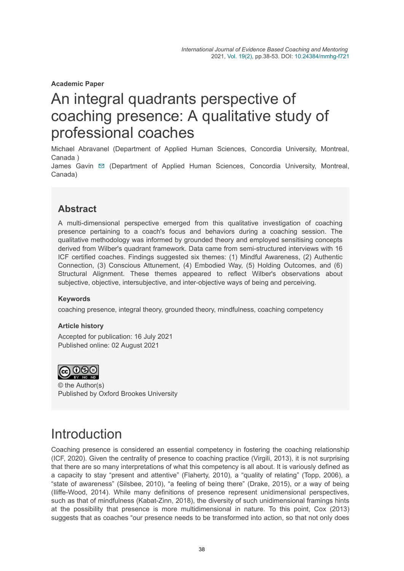**Academic Paper**

# An integral quadrants perspective of coaching presence: A qualitative study of professional coaches

Michael Abravanel (Department of Applied Human Sciences, Concordia University, Montreal, Canada )

James Gavin [✉](mailto:james.gavin@concordia.ca) (Department of Applied Human Sciences, Concordia University, Montreal, Canada)

## **Abstract**

A multi-dimensional perspective emerged from this qualitative investigation of coaching presence pertaining to a coach's focus and behaviors during a coaching session. The qualitative methodology was informed by grounded theory and employed sensitising concepts derived from Wilber's quadrant framework. Data came from semi-structured interviews with 16 ICF certified coaches. Findings suggested six themes: (1) Mindful Awareness, (2) Authentic Connection, (3) Conscious Attunement, (4) Embodied Way, (5) Holding Outcomes, and (6) Structural Alignment. These themes appeared to reflect Wilber's observations about subjective, objective, intersubjective, and inter-objective ways of being and perceiving.

#### **Keywords**

coaching presence, integral theory, grounded theory, mindfulness, coaching competency

#### **Article history**

Accepted for publication: 16 July 2021 Published online: 02 August 2021



© the Author(s) Published by Oxford Brookes University

## **Introduction**

Coaching presence is considered an essential competency in fostering the coaching relationship (ICF, 2020). Given the centrality of presence to coaching practice (Virgili, 2013), it is not surprising that there are so many interpretations of what this competency is all about. It is variously defined as a capacity to stay "present and attentive" (Flaherty, 2010), a "quality of relating" (Topp, 2006), a "state of awareness" (Silsbee, 2010), "a feeling of being there" (Drake, 2015), or a way of being (Iliffe-Wood, 2014). While many definitions of presence represent unidimensional perspectives, such as that of mindfulness (Kabat-Zinn, 2018), the diversity of such unidimensional framings hints at the possibility that presence is more multidimensional in nature. To this point, Cox (2013) suggests that as coaches "our presence needs to be transformed into action, so that not only does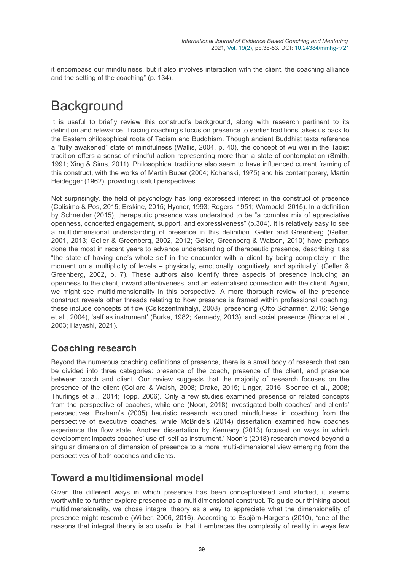it encompass our mindfulness, but it also involves interaction with the client, the coaching alliance and the setting of the coaching" (p. 134).

# **Background**

It is useful to briefly review this construct's background, along with research pertinent to its definition and relevance. Tracing coaching's focus on presence to earlier traditions takes us back to the Eastern philosophical roots of Taoism and Buddhism. Though ancient Buddhist texts reference a "fully awakened" state of mindfulness (Wallis, 2004, p. 40), the concept of wu wei in the Taoist tradition offers a sense of mindful action representing more than a state of contemplation (Smith, 1991; Xing & Sims, 2011). Philosophical traditions also seem to have influenced current framing of this construct, with the works of Martin Buber (2004; Kohanski, 1975) and his contemporary, Martin Heidegger (1962), providing useful perspectives.

Not surprisingly, the field of psychology has long expressed interest in the construct of presence (Colisimo & Pos, 2015; Erskine, 2015; Hycner, 1993; Rogers, 1951; Wampold, 2015). In a definition by Schneider (2015), therapeutic presence was understood to be "a complex mix of appreciative openness, concerted engagement, support, and expressiveness" (p.304). It is relatively easy to see a multidimensional understanding of presence in this definition. Geller and Greenberg (Geller, 2001, 2013; Geller & Greenberg, 2002, 2012; Geller, Greenberg & Watson, 2010) have perhaps done the most in recent years to advance understanding of therapeutic presence, describing it as "the state of having one's whole self in the encounter with a client by being completely in the moment on a multiplicity of levels – physically, emotionally, cognitively, and spiritually" (Geller & Greenberg, 2002, p. 7). These authors also identify three aspects of presence including an openness to the client, inward attentiveness, and an externalised connection with the client. Again, we might see multidimensionality in this perspective. A more thorough review of the presence construct reveals other threads relating to how presence is framed within professional coaching; these include concepts of flow (Csikszentmihalyi, 2008), presencing (Otto Scharmer, 2016; Senge et al., 2004), 'self as instrument' (Burke, 1982; Kennedy, 2013), and social presence (Biocca et al., 2003; Hayashi, 2021).

## **Coaching research**

Beyond the numerous coaching definitions of presence, there is a small body of research that can be divided into three categories: presence of the coach, presence of the client, and presence between coach and client. Our review suggests that the majority of research focuses on the presence of the client (Collard & Walsh, 2008; Drake, 2015; Linger, 2016; Spence et al., 2008; Thurlings et al., 2014; Topp, 2006). Only a few studies examined presence or related concepts from the perspective of coaches, while one (Noon, 2018) investigated both coaches' and clients' perspectives. Braham's (2005) heuristic research explored mindfulness in coaching from the perspective of executive coaches, while McBride's (2014) dissertation examined how coaches experience the flow state. Another dissertation by Kennedy (2013) focused on ways in which development impacts coaches' use of 'self as instrument.' Noon's (2018) research moved beyond a singular dimension of dimension of presence to a more multi-dimensional view emerging from the perspectives of both coaches and clients.

### **Toward a multidimensional model**

Given the different ways in which presence has been conceptualised and studied, it seems worthwhile to further explore presence as a multidimensional construct. To guide our thinking about multidimensionality, we chose integral theory as a way to appreciate what the dimensionality of presence might resemble (Wilber, 2006, 2016). According to Esbjörn-Hargens (2010), "one of the reasons that integral theory is so useful is that it embraces the complexity of reality in ways few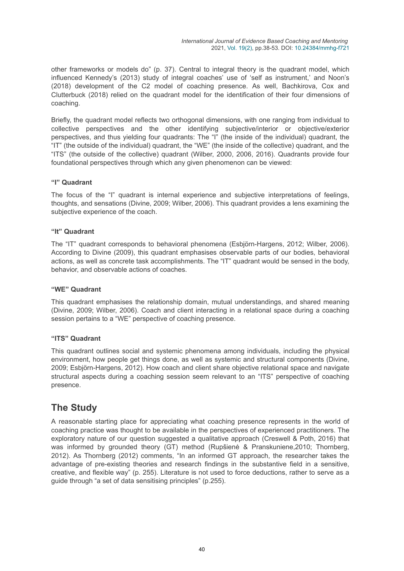other frameworks or models do" (p. 37). Central to integral theory is the quadrant model, which influenced Kennedy's (2013) study of integral coaches' use of 'self as instrument,' and Noon's (2018) development of the C2 model of coaching presence. As well, Bachkirova, Cox and Clutterbuck (2018) relied on the quadrant model for the identification of their four dimensions of coaching.

Briefly, the quadrant model reflects two orthogonal dimensions, with one ranging from individual to collective perspectives and the other identifying subjective/interior or objective/exterior perspectives, and thus yielding four quadrants: The "I" (the inside of the individual) quadrant, the "IT" (the outside of the individual) quadrant, the "WE" (the inside of the collective) quadrant, and the "ITS" (the outside of the collective) quadrant (Wilber, 2000, 2006, 2016). Quadrants provide four foundational perspectives through which any given phenomenon can be viewed:

#### **"I" Quadrant**

The focus of the "I" quadrant is internal experience and subjective interpretations of feelings, thoughts, and sensations (Divine, 2009; Wilber, 2006). This quadrant provides a lens examining the subjective experience of the coach.

#### **"It" Quadrant**

The "IT" quadrant corresponds to behavioral phenomena (Esbjörn-Hargens, 2012; Wilber, 2006). According to Divine (2009), this quadrant emphasises observable parts of our bodies, behavioral actions, as well as concrete task accomplishments. The "IT" quadrant would be sensed in the body, behavior, and observable actions of coaches.

#### **"WE" Quadrant**

This quadrant emphasises the relationship domain, mutual understandings, and shared meaning (Divine, 2009; Wilber, 2006). Coach and client interacting in a relational space during a coaching session pertains to a "WE" perspective of coaching presence.

#### **"ITS" Quadrant**

This quadrant outlines social and systemic phenomena among individuals, including the physical environment, how people get things done, as well as systemic and structural components (Divine, 2009; Esbjörn-Hargens, 2012). How coach and client share objective relational space and navigate structural aspects during a coaching session seem relevant to an "ITS" perspective of coaching presence.

### **The Study**

A reasonable starting place for appreciating what coaching presence represents in the world of coaching practice was thought to be available in the perspectives of experienced practitioners. The exploratory nature of our question suggested a qualitative approach (Creswell & Poth, 2016) that was informed by grounded theory (GT) method (Rupšienė & Pranskuniene,2010; Thornberg, 2012). As Thornberg (2012) comments, "In an informed GT approach, the researcher takes the advantage of pre-existing theories and research findings in the substantive field in a sensitive, creative, and flexible way" (p. 255). Literature is not used to force deductions, rather to serve as a guide through "a set of data sensitising principles" (p.255).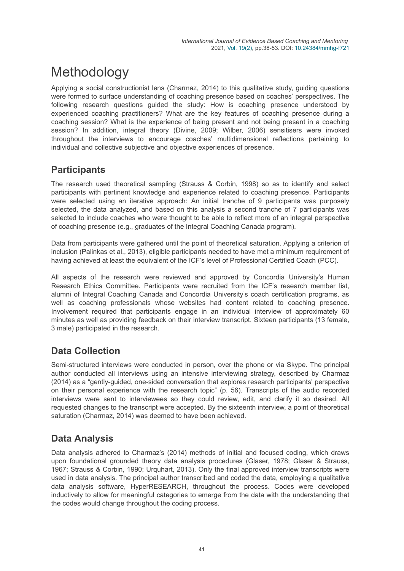# Methodology

Applying a social constructionist lens (Charmaz, 2014) to this qualitative study, guiding questions were formed to surface understanding of coaching presence based on coaches' perspectives. The following research questions guided the study: How is coaching presence understood by experienced coaching practitioners? What are the key features of coaching presence during a coaching session? What is the experience of being present and not being present in a coaching session? In addition, integral theory (Divine, 2009; Wilber, 2006) sensitisers were invoked throughout the interviews to encourage coaches' multidimensional reflections pertaining to individual and collective subjective and objective experiences of presence.

## **Participants**

The research used theoretical sampling (Strauss & Corbin, 1998) so as to identify and select participants with pertinent knowledge and experience related to coaching presence. Participants were selected using an iterative approach: An initial tranche of 9 participants was purposely selected, the data analyzed, and based on this analysis a second tranche of 7 participants was selected to include coaches who were thought to be able to reflect more of an integral perspective of coaching presence (e.g., graduates of the Integral Coaching Canada program).

Data from participants were gathered until the point of theoretical saturation. Applying a criterion of inclusion (Palinkas et al., 2013), eligible participants needed to have met a minimum requirement of having achieved at least the equivalent of the ICF's level of Professional Certified Coach (PCC).

All aspects of the research were reviewed and approved by Concordia University's Human Research Ethics Committee. Participants were recruited from the ICF's research member list, alumni of Integral Coaching Canada and Concordia University's coach certification programs, as well as coaching professionals whose websites had content related to coaching presence. Involvement required that participants engage in an individual interview of approximately 60 minutes as well as providing feedback on their interview transcript. Sixteen participants (13 female, 3 male) participated in the research.

## **Data Collection**

Semi-structured interviews were conducted in person, over the phone or via Skype. The principal author conducted all interviews using an intensive interviewing strategy, described by Charmaz (2014) as a "gently-guided, one-sided conversation that explores research participants' perspective on their personal experience with the research topic" (p. 56). Transcripts of the audio recorded interviews were sent to interviewees so they could review, edit, and clarify it so desired. All requested changes to the transcript were accepted. By the sixteenth interview, a point of theoretical saturation (Charmaz, 2014) was deemed to have been achieved.

## **Data Analysis**

Data analysis adhered to Charmaz's (2014) methods of initial and focused coding, which draws upon foundational grounded theory data analysis procedures (Glaser, 1978; Glaser & Strauss, 1967; Strauss & Corbin, 1990; Urquhart, 2013). Only the final approved interview transcripts were used in data analysis. The principal author transcribed and coded the data, employing a qualitative data analysis software, HyperRESEARCH, throughout the process. Codes were developed inductively to allow for meaningful categories to emerge from the data with the understanding that the codes would change throughout the coding process.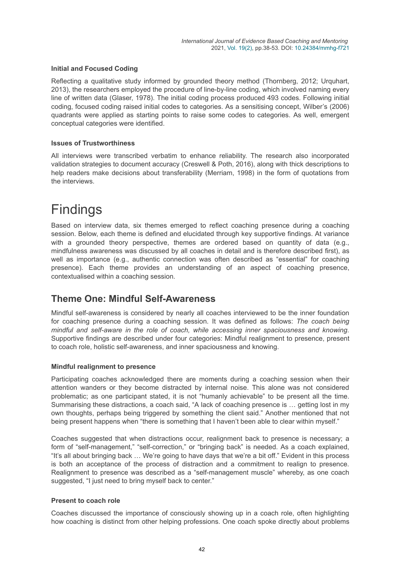#### **Initial and Focused Coding**

Reflecting a qualitative study informed by grounded theory method (Thornberg, 2012; Urquhart, 2013), the researchers employed the procedure of line-by-line coding, which involved naming every line of written data (Glaser, 1978). The initial coding process produced 493 codes. Following initial coding, focused coding raised initial codes to categories. As a sensitising concept, Wilber's (2006) quadrants were applied as starting points to raise some codes to categories. As well, emergent conceptual categories were identified.

#### **Issues of Trustworthiness**

All interviews were transcribed verbatim to enhance reliability. The research also incorporated validation strategies to document accuracy (Creswell & Poth, 2016), along with thick descriptions to help readers make decisions about transferability (Merriam, 1998) in the form of quotations from the interviews.

# Findings

Based on interview data, six themes emerged to reflect coaching presence during a coaching session. Below, each theme is defined and elucidated through key supportive findings. At variance with a grounded theory perspective, themes are ordered based on quantity of data (e.g., mindfulness awareness was discussed by all coaches in detail and is therefore described first), as well as importance (e.g., authentic connection was often described as "essential" for coaching presence). Each theme provides an understanding of an aspect of coaching presence, contextualised within a coaching session.

### **Theme One: Mindful Self-Awareness**

Mindful self-awareness is considered by nearly all coaches interviewed to be the inner foundation for coaching presence during a coaching session. It was defined as follows: *The coach being mindful and self-aware in the role of coach, while accessing inner spaciousness and knowing*. Supportive findings are described under four categories: Mindful realignment to presence, present to coach role, holistic self-awareness, and inner spaciousness and knowing.

#### **Mindful realignment to presence**

Participating coaches acknowledged there are moments during a coaching session when their attention wanders or they become distracted by internal noise. This alone was not considered problematic; as one participant stated, it is not "humanly achievable" to be present all the time. Summarising these distractions, a coach said, "A lack of coaching presence is … getting lost in my own thoughts, perhaps being triggered by something the client said." Another mentioned that not being present happens when "there is something that I haven't been able to clear within myself."

Coaches suggested that when distractions occur, realignment back to presence is necessary; a form of "self-management," "self-correction," or "bringing back" is needed. As a coach explained, "It's all about bringing back … We're going to have days that we're a bit off." Evident in this process is both an acceptance of the process of distraction and a commitment to realign to presence. Realignment to presence was described as a "self-management muscle" whereby, as one coach suggested, "I just need to bring myself back to center."

#### **Present to coach role**

Coaches discussed the importance of consciously showing up in a coach role, often highlighting how coaching is distinct from other helping professions. One coach spoke directly about problems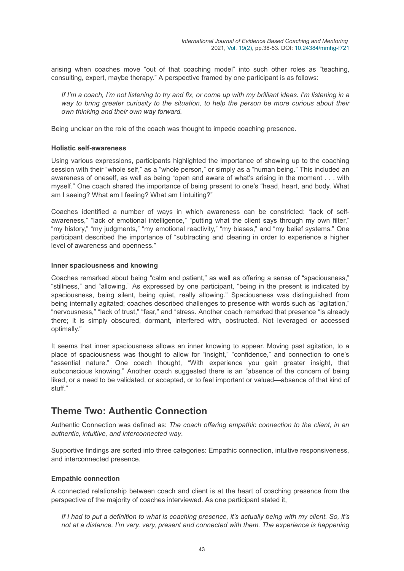arising when coaches move "out of that coaching model" into such other roles as "teaching, consulting, expert, maybe therapy." A perspective framed by one participant is as follows:

*If I'm a coach, I'm not listening to try and fix, or come up with my brilliant ideas. I'm listening in a way to bring greater curiosity to the situation, to help the person be more curious about their own thinking and their own way forward.*

Being unclear on the role of the coach was thought to impede coaching presence.

#### **Holistic self-awareness**

Using various expressions, participants highlighted the importance of showing up to the coaching session with their "whole self," as a "whole person," or simply as a "human being." This included an awareness of oneself, as well as being "open and aware of what's arising in the moment . . . with myself." One coach shared the importance of being present to one's "head, heart, and body. What am I seeing? What am I feeling? What am I intuiting?"

Coaches identified a number of ways in which awareness can be constricted: "lack of selfawareness," "lack of emotional intelligence," "putting what the client says through my own filter," "my history," "my judgments," "my emotional reactivity," "my biases," and "my belief systems." One participant described the importance of "subtracting and clearing in order to experience a higher level of awareness and openness."

#### **Inner spaciousness and knowing**

Coaches remarked about being "calm and patient," as well as offering a sense of "spaciousness," "stillness," and "allowing." As expressed by one participant, "being in the present is indicated by spaciousness, being silent, being quiet, really allowing." Spaciousness was distinguished from being internally agitated; coaches described challenges to presence with words such as "agitation," "nervousness," "lack of trust," "fear," and "stress. Another coach remarked that presence "is already there; it is simply obscured, dormant, interfered with, obstructed. Not leveraged or accessed optimally."

It seems that inner spaciousness allows an inner knowing to appear. Moving past agitation, to a place of spaciousness was thought to allow for "insight," "confidence," and connection to one's "essential nature." One coach thought, "With experience you gain greater insight, that subconscious knowing." Another coach suggested there is an "absence of the concern of being liked, or a need to be validated, or accepted, or to feel important or valued—absence of that kind of stuff."

### **Theme Two: Authentic Connection**

Authentic Connection was defined as: *The coach offering empathic connection to the client, in an authentic, intuitive, and interconnected way*.

Supportive findings are sorted into three categories: Empathic connection, intuitive responsiveness, and interconnected presence.

#### **Empathic connection**

A connected relationship between coach and client is at the heart of coaching presence from the perspective of the majority of coaches interviewed. As one participant stated it,

*If I had to put a definition to what is coaching presence, it's actually being with my client. So, it's not at a distance. I'm very, very, present and connected with them. The experience is happening*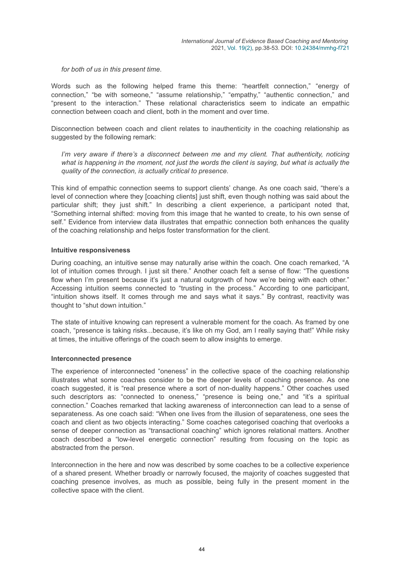*for both of us in this present time*.

Words such as the following helped frame this theme: "heartfelt connection," "energy of connection," "be with someone," "assume relationship," "empathy," "authentic connection," and "present to the interaction." These relational characteristics seem to indicate an empathic connection between coach and client, both in the moment and over time.

Disconnection between coach and client relates to inauthenticity in the coaching relationship as suggested by the following remark:

*I'm very aware if there's a disconnect between me and my client. That authenticity, noticing what is happening in the moment, not just the words the client is saying, but what is actually the quality of the connection, is actually critical to presence*.

This kind of empathic connection seems to support clients' change. As one coach said, "there's a level of connection where they [coaching clients] just shift, even though nothing was said about the particular shift; they just shift." In describing a client experience, a participant noted that, "Something internal shifted: moving from this image that he wanted to create, to his own sense of self." Evidence from interview data illustrates that empathic connection both enhances the quality of the coaching relationship and helps foster transformation for the client.

#### **Intuitive responsiveness**

During coaching, an intuitive sense may naturally arise within the coach. One coach remarked, "A lot of intuition comes through. I just sit there." Another coach felt a sense of flow: "The questions flow when I'm present because it's just a natural outgrowth of how we're being with each other." Accessing intuition seems connected to "trusting in the process." According to one participant, "intuition shows itself. It comes through me and says what it says." By contrast, reactivity was thought to "shut down intuition."

The state of intuitive knowing can represent a vulnerable moment for the coach. As framed by one coach, "presence is taking risks...because, it's like oh my God, am I really saying that!" While risky at times, the intuitive offerings of the coach seem to allow insights to emerge.

#### **Interconnected presence**

The experience of interconnected "oneness" in the collective space of the coaching relationship illustrates what some coaches consider to be the deeper levels of coaching presence. As one coach suggested, it is "real presence where a sort of non-duality happens." Other coaches used such descriptors as: "connected to oneness," "presence is being one," and "it's a spiritual connection." Coaches remarked that lacking awareness of interconnection can lead to a sense of separateness. As one coach said: "When one lives from the illusion of separateness, one sees the coach and client as two objects interacting." Some coaches categorised coaching that overlooks a sense of deeper connection as "transactional coaching" which ignores relational matters. Another coach described a "low-level energetic connection" resulting from focusing on the topic as abstracted from the person.

Interconnection in the here and now was described by some coaches to be a collective experience of a shared present. Whether broadly or narrowly focused, the majority of coaches suggested that coaching presence involves, as much as possible, being fully in the present moment in the collective space with the client.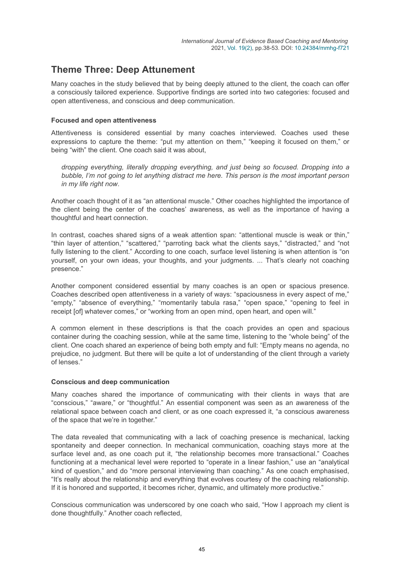## **Theme Three: Deep Attunement**

Many coaches in the study believed that by being deeply attuned to the client, the coach can offer a consciously tailored experience. Supportive findings are sorted into two categories: focused and open attentiveness, and conscious and deep communication.

#### **Focused and open attentiveness**

Attentiveness is considered essential by many coaches interviewed. Coaches used these expressions to capture the theme: "put my attention on them," "keeping it focused on them," or being "with" the client. One coach said it was about,

*dropping everything, literally dropping everything, and just being so focused. Dropping into a bubble, I'm not going to let anything distract me here. This person is the most important person in my life right now*.

Another coach thought of it as "an attentional muscle." Other coaches highlighted the importance of the client being the center of the coaches' awareness, as well as the importance of having a thoughtful and heart connection.

In contrast, coaches shared signs of a weak attention span: "attentional muscle is weak or thin," "thin layer of attention," "scattered," "parroting back what the clients says," "distracted," and "not fully listening to the client." According to one coach, surface level listening is when attention is "on yourself, on your own ideas, your thoughts, and your judgments. ... That's clearly not coaching presence."

Another component considered essential by many coaches is an open or spacious presence. Coaches described open attentiveness in a variety of ways: "spaciousness in every aspect of me," "empty," "absence of everything," "momentarily tabula rasa," "open space," "opening to feel in receipt [of] whatever comes," or "working from an open mind, open heart, and open will."

A common element in these descriptions is that the coach provides an open and spacious container during the coaching session, while at the same time, listening to the "whole being" of the client. One coach shared an experience of being both empty and full: "Empty means no agenda, no prejudice, no judgment. But there will be quite a lot of understanding of the client through a variety of lenses."

#### **Conscious and deep communication**

Many coaches shared the importance of communicating with their clients in ways that are "conscious," "aware," or "thoughtful." An essential component was seen as an awareness of the relational space between coach and client, or as one coach expressed it, "a conscious awareness of the space that we're in together."

The data revealed that communicating with a lack of coaching presence is mechanical, lacking spontaneity and deeper connection. In mechanical communication, coaching stays more at the surface level and, as one coach put it, "the relationship becomes more transactional." Coaches functioning at a mechanical level were reported to "operate in a linear fashion," use an "analytical kind of question," and do "more personal interviewing than coaching." As one coach emphasised, "It's really about the relationship and everything that evolves courtesy of the coaching relationship. If it is honored and supported, it becomes richer, dynamic, and ultimately more productive."

Conscious communication was underscored by one coach who said, "How I approach my client is done thoughtfully." Another coach reflected,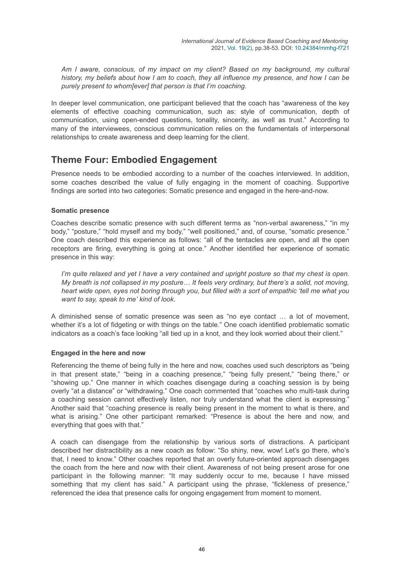*Am I aware, conscious, of my impact on my client? Based on my background, my cultural history, my beliefs about how I am to coach, they all influence my presence, and how I can be purely present to whom[ever] that person is that I'm coaching*.

In deeper level communication, one participant believed that the coach has "awareness of the key elements of effective coaching communication, such as: style of communication, depth of communication, using open-ended questions, tonality, sincerity, as well as trust." According to many of the interviewees, conscious communication relies on the fundamentals of interpersonal relationships to create awareness and deep learning for the client.

## **Theme Four: Embodied Engagement**

Presence needs to be embodied according to a number of the coaches interviewed. In addition, some coaches described the value of fully engaging in the moment of coaching. Supportive findings are sorted into two categories: Somatic presence and engaged in the here-and-now.

#### **Somatic presence**

Coaches describe somatic presence with such different terms as "non-verbal awareness," "in my body," "posture," "hold myself and my body," "well positioned," and, of course, "somatic presence." One coach described this experience as follows: "all of the tentacles are open, and all the open receptors are firing, everything is going at once." Another identified her experience of somatic presence in this way:

*I'm quite relaxed and yet I have a very contained and upright posture so that my chest is open. My breath is not collapsed in my posture… It feels very ordinary, but there's a solid, not moving, heart wide open, eyes not boring through you, but filled with a sort of empathic 'tell me what you want to say, speak to me' kind of look*.

A diminished sense of somatic presence was seen as "no eye contact … a lot of movement, whether it's a lot of fidgeting or with things on the table." One coach identified problematic somatic indicators as a coach's face looking "all tied up in a knot, and they look worried about their client."

#### **Engaged in the here and now**

Referencing the theme of being fully in the here and now, coaches used such descriptors as "being in that present state," "being in a coaching presence," "being fully present," "being there," or "showing up." One manner in which coaches disengage during a coaching session is by being overly "at a distance" or "withdrawing." One coach commented that "coaches who multi-task during a coaching session cannot effectively listen, nor truly understand what the client is expressing." Another said that "coaching presence is really being present in the moment to what is there, and what is arising." One other participant remarked: "Presence is about the here and now, and everything that goes with that."

A coach can disengage from the relationship by various sorts of distractions. A participant described her distractibility as a new coach as follow: "So shiny, new, wow! Let's go there, who's that, I need to know." Other coaches reported that an overly future-oriented approach disengages the coach from the here and now with their client. Awareness of not being present arose for one participant in the following manner: "It may suddenly occur to me, because I have missed something that my client has said." A participant using the phrase, "fickleness of presence," referenced the idea that presence calls for ongoing engagement from moment to moment.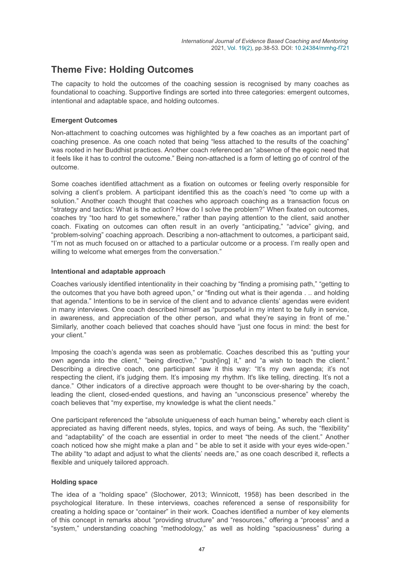## **Theme Five: Holding Outcomes**

The capacity to hold the outcomes of the coaching session is recognised by many coaches as foundational to coaching. Supportive findings are sorted into three categories: emergent outcomes, intentional and adaptable space, and holding outcomes.

#### **Emergent Outcomes**

Non-attachment to coaching outcomes was highlighted by a few coaches as an important part of coaching presence. As one coach noted that being "less attached to the results of the coaching" was rooted in her Buddhist practices. Another coach referenced an "absence of the egoic need that it feels like it has to control the outcome." Being non-attached is a form of letting go of control of the outcome.

Some coaches identified attachment as a fixation on outcomes or feeling overly responsible for solving a client's problem. A participant identified this as the coach's need "to come up with a solution." Another coach thought that coaches who approach coaching as a transaction focus on "strategy and tactics: What is the action? How do I solve the problem?" When fixated on outcomes, coaches try "too hard to get somewhere," rather than paying attention to the client, said another coach. Fixating on outcomes can often result in an overly "anticipating," "advice" giving, and "problem-solving" coaching approach. Describing a non-attachment to outcomes, a participant said, "I'm not as much focused on or attached to a particular outcome or a process. I'm really open and willing to welcome what emerges from the conversation."

#### **Intentional and adaptable approach**

Coaches variously identified intentionality in their coaching by "finding a promising path," "getting to the outcomes that you have both agreed upon," or "finding out what is their agenda . .. and holding that agenda." Intentions to be in service of the client and to advance clients' agendas were evident in many interviews. One coach described himself as "purposeful in my intent to be fully in service, in awareness, and appreciation of the other person, and what they're saying in front of me." Similarly, another coach believed that coaches should have "just one focus in mind: the best for your client."

Imposing the coach's agenda was seen as problematic. Coaches described this as "putting your own agenda into the client," "being directive," "push[ing] it," and "a wish to teach the client." Describing a directive coach, one participant saw it this way: "It's my own agenda; it's not respecting the client, it's judging them. It's imposing my rhythm. It's like telling, directing. It's not a dance." Other indicators of a directive approach were thought to be over-sharing by the coach, leading the client, closed-ended questions, and having an "unconscious presence" whereby the coach believes that "my expertise, my knowledge is what the client needs."

One participant referenced the "absolute uniqueness of each human being," whereby each client is appreciated as having different needs, styles, topics, and ways of being. As such, the "flexibility" and "adaptability" of the coach are essential in order to meet "the needs of the client." Another coach noticed how she might make a plan and " be able to set it aside with your eyes wide-open." The ability "to adapt and adjust to what the clients' needs are," as one coach described it, reflects a flexible and uniquely tailored approach.

#### **Holding space**

The idea of a "holding space" (Slochower, 2013; Winnicott, 1958) has been described in the psychological literature. In these interviews, coaches referenced a sense of responsibility for creating a holding space or "container" in their work. Coaches identified a number of key elements of this concept in remarks about "providing structure" and "resources," offering a "process" and a "system," understanding coaching "methodology," as well as holding "spaciousness" during a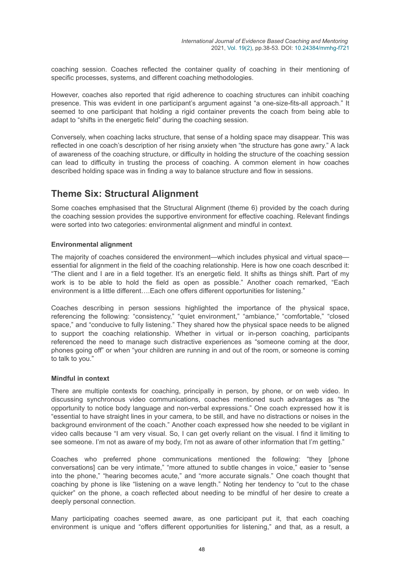coaching session. Coaches reflected the container quality of coaching in their mentioning of specific processes, systems, and different coaching methodologies.

However, coaches also reported that rigid adherence to coaching structures can inhibit coaching presence. This was evident in one participant's argument against "a one-size-fits-all approach." It seemed to one participant that holding a rigid container prevents the coach from being able to adapt to "shifts in the energetic field" during the coaching session.

Conversely, when coaching lacks structure, that sense of a holding space may disappear. This was reflected in one coach's description of her rising anxiety when "the structure has gone awry." A lack of awareness of the coaching structure, or difficulty in holding the structure of the coaching session can lead to difficulty in trusting the process of coaching. A common element in how coaches described holding space was in finding a way to balance structure and flow in sessions.

### **Theme Six: Structural Alignment**

Some coaches emphasised that the Structural Alignment (theme 6) provided by the coach during the coaching session provides the supportive environment for effective coaching. Relevant findings were sorted into two categories: environmental alignment and mindful in context.

#### **Environmental alignment**

The majority of coaches considered the environment—which includes physical and virtual space essential for alignment in the field of the coaching relationship. Here is how one coach described it: "The client and I are in a field together. It's an energetic field. It shifts as things shift. Part of my work is to be able to hold the field as open as possible." Another coach remarked, "Each environment is a little different….Each one offers different opportunities for listening."

Coaches describing in person sessions highlighted the importance of the physical space, referencing the following: "consistency," "quiet environment," "ambiance," "comfortable," "closed space," and "conducive to fully listening." They shared how the physical space needs to be aligned to support the coaching relationship. Whether in virtual or in-person coaching, participants referenced the need to manage such distractive experiences as "someone coming at the door, phones going off" or when "your children are running in and out of the room, or someone is coming to talk to you."

#### **Mindful in context**

There are multiple contexts for coaching, principally in person, by phone, or on web video. In discussing synchronous video communications, coaches mentioned such advantages as "the opportunity to notice body language and non-verbal expressions." One coach expressed how it is "essential to have straight lines in your camera, to be still, and have no distractions or noises in the background environment of the coach." Another coach expressed how she needed to be vigilant in video calls because "I am very visual. So, I can get overly reliant on the visual. I find it limiting to see someone. I'm not as aware of my body, I'm not as aware of other information that I'm getting."

Coaches who preferred phone communications mentioned the following: "they [phone conversations] can be very intimate," "more attuned to subtle changes in voice," easier to "sense into the phone," "hearing becomes acute," and "more accurate signals." One coach thought that coaching by phone is like "listening on a wave length." Noting her tendency to "cut to the chase quicker" on the phone, a coach reflected about needing to be mindful of her desire to create a deeply personal connection.

Many participating coaches seemed aware, as one participant put it, that each coaching environment is unique and "offers different opportunities for listening," and that, as a result, a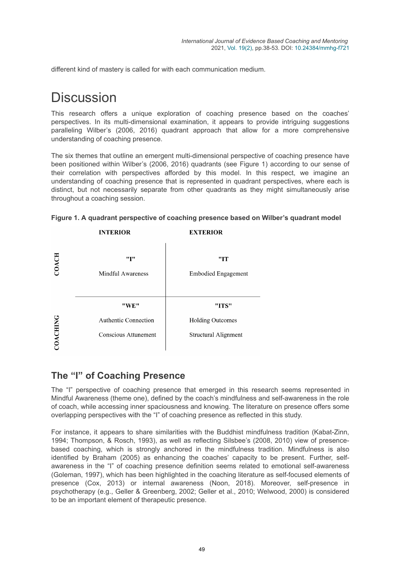different kind of mastery is called for with each communication medium.

# **Discussion**

This research offers a unique exploration of coaching presence based on the coaches' perspectives. In its multi-dimensional examination, it appears to provide intriguing suggestions paralleling Wilber's (2006, 2016) quadrant approach that allow for a more comprehensive understanding of coaching presence.

The six themes that outline an emergent multi-dimensional perspective of coaching presence have been positioned within Wilber's (2006, 2016) quadrants (see Figure 1) according to our sense of their correlation with perspectives afforded by this model. In this respect, we imagine an understanding of coaching presence that is represented in quadrant perspectives, where each is distinct, but not necessarily separate from other quadrants as they might simultaneously arise throughout a coaching session.



|  |  |  |  |  |  | Figure 1. A quadrant perspective of coaching presence based on Wilber's quadrant model |
|--|--|--|--|--|--|----------------------------------------------------------------------------------------|
|--|--|--|--|--|--|----------------------------------------------------------------------------------------|

### **The "I" of Coaching Presence**

The "I" perspective of coaching presence that emerged in this research seems represented in Mindful Awareness (theme one), defined by the coach's mindfulness and self-awareness in the role of coach, while accessing inner spaciousness and knowing. The literature on presence offers some overlapping perspectives with the "I" of coaching presence as reflected in this study.

For instance, it appears to share similarities with the Buddhist mindfulness tradition (Kabat-Zinn, 1994; Thompson, & Rosch, 1993), as well as reflecting Silsbee's (2008, 2010) view of presencebased coaching, which is strongly anchored in the mindfulness tradition. Mindfulness is also identified by Braham (2005) as enhancing the coaches' capacity to be present. Further, selfawareness in the "I" of coaching presence definition seems related to emotional self-awareness (Goleman, 1997), which has been highlighted in the coaching literature as self-focused elements of presence (Cox, 2013) or internal awareness (Noon, 2018). Moreover, self-presence in psychotherapy (e.g., Geller & Greenberg, 2002; Geller et al., 2010; Welwood, 2000) is considered to be an important element of therapeutic presence.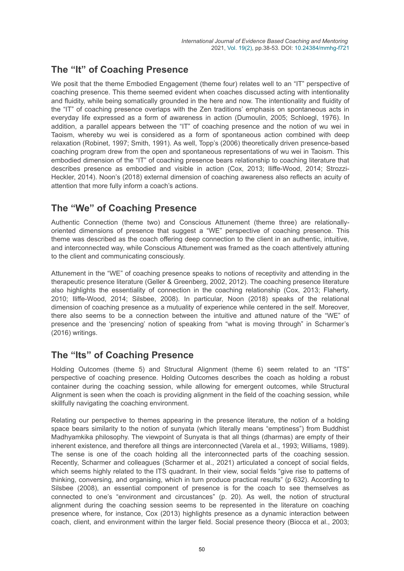## **The "It" of Coaching Presence**

We posit that the theme Embodied Engagement (theme four) relates well to an "IT" perspective of coaching presence. This theme seemed evident when coaches discussed acting with intentionality and fluidity, while being somatically grounded in the here and now. The intentionality and fluidity of the "IT" of coaching presence overlaps with the Zen traditions' emphasis on spontaneous acts in everyday life expressed as a form of awareness in action (Dumoulin, 2005; Schloegl, 1976). In addition, a parallel appears between the "IT" of coaching presence and the notion of wu wei in Taoism, whereby wu wei is considered as a form of spontaneous action combined with deep relaxation (Robinet, 1997; Smith, 1991). As well, Topp's (2006) theoretically driven presence-based coaching program drew from the open and spontaneous representations of wu wei in Taoism. This embodied dimension of the "IT" of coaching presence bears relationship to coaching literature that describes presence as embodied and visible in action (Cox, 2013; Iliffe-Wood, 2014; Strozzi-Heckler, 2014). Noon's (2018) external dimension of coaching awareness also reflects an acuity of attention that more fully inform a coach's actions.

## **The "We" of Coaching Presence**

Authentic Connection (theme two) and Conscious Attunement (theme three) are relationallyoriented dimensions of presence that suggest a "WE" perspective of coaching presence. This theme was described as the coach offering deep connection to the client in an authentic, intuitive, and interconnected way, while Conscious Attunement was framed as the coach attentively attuning to the client and communicating consciously.

Attunement in the "WE" of coaching presence speaks to notions of receptivity and attending in the therapeutic presence literature (Geller & Greenberg, 2002, 2012). The coaching presence literature also highlights the essentiality of connection in the coaching relationship (Cox, 2013; Flaherty, 2010; Iliffe-Wood, 2014; Silsbee, 2008). In particular, Noon (2018) speaks of the relational dimension of coaching presence as a mutuality of experience while centered in the self. Moreover, there also seems to be a connection between the intuitive and attuned nature of the "WE" of presence and the 'presencing' notion of speaking from "what is moving through" in Scharmer's (2016) writings.

## **The "Its" of Coaching Presence**

Holding Outcomes (theme 5) and Structural Alignment (theme 6) seem related to an "ITS" perspective of coaching presence. Holding Outcomes describes the coach as holding a robust container during the coaching session, while allowing for emergent outcomes, while Structural Alignment is seen when the coach is providing alignment in the field of the coaching session, while skillfully navigating the coaching environment.

Relating our perspective to themes appearing in the presence literature, the notion of a holding space bears similarity to the notion of sunyata (which literally means "emptiness") from Buddhist Madhyamkika philosophy. The viewpoint of Sunyata is that all things (dharmas) are empty of their inherent existence, and therefore all things are interconnected (Varela et al., 1993; Williams, 1989). The sense is one of the coach holding all the interconnected parts of the coaching session. Recently, Scharmer and colleagues (Scharmer et al., 2021) articulated a concept of social fields, which seems highly related to the ITS quadrant. In their view, social fields "give rise to patterns of thinking, conversing, and organising, which in turn produce practical results" (p 632). According to Silsbee (2008), an essential component of presence is for the coach to see themselves as connected to one's "environment and circustances" (p. 20). As well, the notion of structural alignment during the coaching session seems to be represented in the literature on coaching presence where, for instance, Cox (2013) highlights presence as a dynamic interaction between coach, client, and environment within the larger field. Social presence theory (Biocca et al., 2003;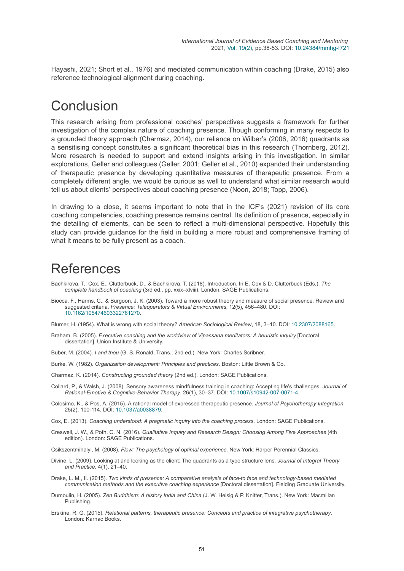Hayashi, 2021; Short et al., 1976) and mediated communication within coaching (Drake, 2015) also reference technological alignment during coaching.

## Conclusion

This research arising from professional coaches' perspectives suggests a framework for further investigation of the complex nature of coaching presence. Though conforming in many respects to a grounded theory approach (Charmaz, 2014), our reliance on Wilber's (2006, 2016) quadrants as a sensitising concept constitutes a significant theoretical bias in this research (Thornberg, 2012). More research is needed to support and extend insights arising in this investigation. In similar explorations, Geller and colleagues (Geller, 2001; Geller et al., 2010) expanded their understanding of therapeutic presence by developing quantitative measures of therapeutic presence. From a completely different angle, we would be curious as well to understand what similar research would tell us about clients' perspectives about coaching presence (Noon, 2018; Topp, 2006).

In drawing to a close, it seems important to note that in the ICF's (2021) revision of its core coaching competencies, coaching presence remains central. Its definition of presence, especially in the detailing of elements, can be seen to reflect a multi-dimensional perspective. Hopefully this study can provide guidance for the field in building a more robust and comprehensive framing of what it means to be fully present as a coach.

## References

- Bachkirova, T., Cox, E., Clutterbuck, D., & Bachkirova, T. (2018). Introduction. In E. Cox & D. Clutterbuck (Eds.), *The complete handbook of coaching* (3rd ed., pp. xxix–xlviii). London: SAGE Publications.
- Biocca, F., Harms, C., & Burgoon, J. K. (2003). Toward a more robust theory and measure of social presence: Review and suggested criteria. *Presence: Teleoperators & Virtual Environments*, 12(5), 456–480. DOI: [10.1162/105474603322761270](https://doi.org/10.1162/105474603322761270).
- Blumer, H. (1954). What is wrong with social theory? *American Sociological Review*, 18, 3–10. DOI: [10.2307/2088165](https://doi.org/10.2307/2088165).
- Braham, B. (2005). *Executive coaching and the worldview of Vipassana meditators: A heuristic inquiry* [Doctoral dissertation]. Union Institute & University.
- Buber, M. (2004). *I and thou* (G. S. Ronald, Trans.; 2nd ed.). New York: Charles Scribner.
- Burke, W. (1982). *Organization development: Principles and practices*. Boston: Little Brown & Co.
- Charmaz, K. (2014). *Constructing grounded theory* (2nd ed.). London: SAGE Publications.
- Collard, P., & Walsh, J. (2008). Sensory awareness mindfulness training in coaching: Accepting life's challenges. *Journal of Rational-Emotive & Cognitive-Behavior Therapy*, 26(1), 30–37. DOI: [10.1007/s10942-007-0071-4](https://doi.org/10.1007/s10942-007-0071-4).
- Colosimo, K., & Pos, A. (2015). A rational model of expressed therapeutic presence. *Journal of Psychotherapy Integration*, 25(2), 100-114. DOI: [10.1037/a0038879](https://doi.org/10.1037/a0038879).
- Cox, E. (2013). *Coaching understood: A pragmatic inquiry into the coaching process*. London: SAGE Publications.
- Creswell, J. W., & Poth, C. N. (2016). *Qualitative Inquiry and Research Design: Choosing Among Five Approaches* (4th edition). London: SAGE Publications.
- Csikszentmihalyi, M. (2008). *Flow: The psychology of optimal experience*. New York: Harper Perennial Classics.
- Divine, L. (2009). Looking at and looking as the client: The quadrants as a type structure lens. *Journal of Integral Theory and Practice*, 4(1), 21–40.
- Drake, L. M., II. (2015). *Two kinds of presence: A comparative analysis of face-to face and technology-based mediated communication methods and the executive coaching experience* [Doctoral dissertation]. Fielding Graduate University.
- Dumoulin, H. (2005). *Zen Buddhism: A history India and China* (J. W. Heisig & P. Knitter, Trans.). New York: Macmillan Publishing.
- Erskine, R. G. (2015). *Relational patterns, therapeutic presence: Concepts and practice of integrative psychotherapy*. London: Karnac Books.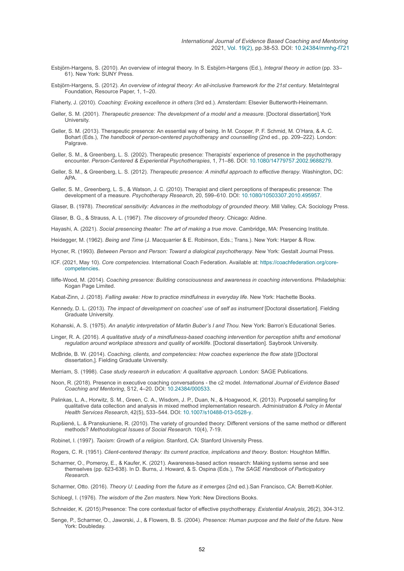- Esbjörn-Hargens, S. (2010). An overview of integral theory. In S. Esbjörn-Hargens (Ed.), *Integral theory in action* (pp. 33– 61). New York: SUNY Press.
- Esbjörn-Hargens, S. (2012). *An overview of integral theory: An all-inclusive framework for the 21st century*. MetaIntegral Foundation, Resource Paper, 1, 1–20.

Flaherty, J. (2010). *Coaching: Evoking excellence in others* (3rd ed.). Amsterdam: Elsevier Butterworth-Heinemann.

- Geller, S. M. (2001). *Therapeutic presence: The development of a model and a measure*. [Doctoral dissertation].York **University**
- Geller, S. M. (2013). Therapeutic presence: An essential way of being. In M. Cooper, P. F. Schmid, M. O'Hara, & A. C. Bohart (Eds.), *The handbook of person-centered psychotherapy and counselling* (2nd ed., pp. 209–222). London: Palgrave.
- Geller, S. M., & Greenberg, L. S. (2002). Therapeutic presence: Therapists' experience of presence in the psychotherapy encounter. *Person-Centered & Experiential Psychotherapies*, 1, 71–86. DOI: [10.1080/14779757.2002.9688279.](https://doi.org/10.1080/14779757.2002.9688279)
- Geller, S. M., & Greenberg, L. S. (2012). *Therapeutic presence: A mindful approach to effective therapy*. Washington, DC: APA.
- Geller, S. M., Greenberg, L. S., & Watson, J. C. (2010). Therapist and client perceptions of therapeutic presence: The development of a measure. *Psychotherapy Research*, 20, 599–610. DOI: [10.1080/10503307.2010.495957.](https://doi.org/10.1080/10503307.2010.495957)

Glaser, B. (1978). *Theoretical sensitivity: Advances in the methodology of grounded theory*. Mill Valley, CA: Sociology Press.

Glaser, B. G., & Strauss, A. L. (1967). *The discovery of grounded theory*. Chicago: Aldine.

Hayashi, A. (2021). *Social presencing theater: The art of making a true move*. Cambridge, MA: Presencing Institute.

Heidegger, M. (1962). *Being and Time* (J. Macquarrier & E. Robinson, Eds.; Trans.). New York: Harper & Row.

- Hycner, R. (1993). *Between Person and Person: Toward a dialogical psychotherapy*. New York: Gestalt Journal Press.
- ICF. (2021, May 10). *Core competencies*[. International Coach Federation. Available at: https://coachfederation.org/core](https://coachfederation.org/core-competencies)competencies.
- Iliffe-Wood, M. (2014). *Coaching presence: Building consciousness and awareness in coaching interventions*. Philadelphia: Kogan Page Limited.

Kabat-Zinn, J. (2018). *Falling awake: How to practice mindfulness in everyday life*. New York: Hachette Books.

Kennedy, D. L. (2013). *The impact of development on coaches' use of self as instrument* [Doctoral dissertation]. Fielding Graduate University.

Kohanski, A. S. (1975). *An analytic interpretation of Martin Buber's I and Thou*. New York: Barron's Educational Series.

- Linger, R. A. (2016). *A qualitative study of a mindfulness-based coaching intervention for perception shifts and emotional regulation around workplace stressors and quality of worklife*. [Doctoral dissertation]. Saybrook University.
- McBride, B. W. (2014). *Coaching, clients, and competencies: How coaches experience the flow state* [(Doctoral dissertation,]. Fielding Graduate University.

Merriam, S. (1998). *Case study research in education: A qualitative approach*. London: SAGE Publications.

- Noon, R. (2018). Presence in executive coaching conversations the c2 model. *International Journal of Evidence Based Coaching and Mentoring*, S12, 4–20. DOI: [10.24384/000533.](https://doi.org/10.24384/000533)
- Palinkas, L. A., Horwitz, S. M., Green, C. A., Wisdom, J. P., Duan, N., & Hoagwood, K. (2013). Purposeful sampling for qualitative data collection and analysis in mixed method implementation research. *Administration & Policy in Mental Health Services Research*, 42(5), 533–544. DOI: [10.1007/s10488-013-0528-y](https://doi.org/10.1007/s10488-013-0528-y).
- Rupšienė, L. & Pranskuniene, R. (2010). The variety of grounded theory: Different versions of the same method or different methods? *Methodological Issues of Social Research*. 10(4), 7-19.

Robinet, I. (1997). *Taoism: Growth of a religion*. Stanford, CA: Stanford University Press.

- Rogers, C. R. (1951). *Client-centered therapy: Its current practice, implications and theory*. Boston: Houghton Mifflin.
- Scharmer, O., Pomeroy, E., & Kaufer, K. (2021). Awareness-based action research: Making systems sense and see themselves (pp. 623-638). In D. Burns, J. Howard, & S. Ospina (Eds.), *The SAGE Handbook of Participatory Research*.

Scharmer, Otto. (2016). *Theory U: Leading from the future as it emerges* (2nd ed.).San Francisco, CA: Berrett-Kohler.

- Schloegl, I. (1976). *The wisdom of the Zen masters*. New York: New Directions Books.
- Schneider, K. (2015).Presence: The core contextual factor of effective psychotherapy. *Existential Analysis*, 26(2), 304-312.
- Senge, P., Scharmer, O., Jaworski, J., & Flowers, B. S. (2004). *Presence: Human purpose and the field of the future*. New York: Doubleday.